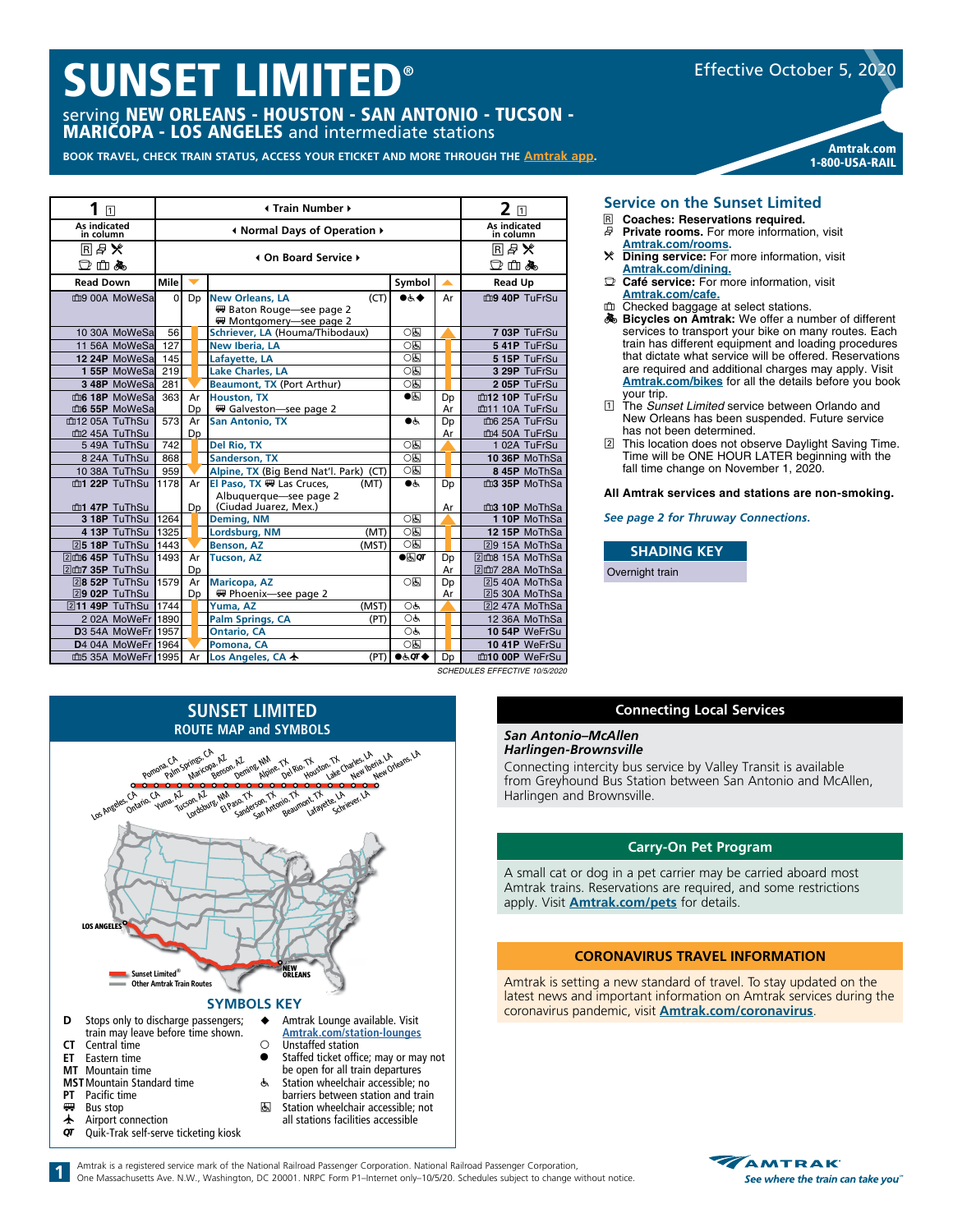# SUNSET LIMITED®

# serving NEW ORLEANS - HOUSTON - SAN ANTONIO - TUCSON - MARICOPA - LOS ANGELES and intermediate stations

### **BOOK TRAVEL, CHECK TRAIN STATUS, ACCESS YOUR ETICKET AND MORE THROUGH THE [Amtrak app](https://www.amtrak.com/mobile).**



| 1<br>$\overline{1}$            |             |    | 2<br>$\sqrt{1}$                                                                       |                         |                           |                |
|--------------------------------|-------------|----|---------------------------------------------------------------------------------------|-------------------------|---------------------------|----------------|
| As indicated<br>in column      |             |    | In Normal Days of Operation ♦                                                         |                         | As indicated<br>in column |                |
| R₽X                            |             |    | 4 On Board Service ▶                                                                  | R₽Х                     |                           |                |
| □血氟                            |             |    |                                                                                       |                         |                           | ◘而赢            |
| <b>Read Down</b>               | <b>Mile</b> |    |                                                                                       | Symbol                  | ▲                         | <b>Read Up</b> |
| mg 00A MoWeSa                  | 0           | Dp | <b>New Orleans, LA</b><br>(CT)<br>₩ Baton Rouge-see page 2<br>₩ Montgomery-see page 2 | ●よ◆                     | Ar                        | m9 40P TuFrSu  |
| 10 30A MoWeSa                  | 56          |    | Schriever, LA (Houma/Thibodaux)                                                       | ○६                      |                           | 703P TuFrSu    |
| 11 56A MoWeSa                  | 127         |    | <b>New Iberia, LA</b>                                                                 | $\bigcirc$              |                           | 541P TuFrSu    |
| 12 24P MoWeSa                  | 145         |    | Lafayette, LA                                                                         | O(5)                    |                           | 5 15P TuFrSu   |
| 1 55P MoWeSa 219               |             |    | <b>Lake Charles, LA</b>                                                               | O(5)                    |                           | 3 29P TuFrSu   |
| 3 48P MoWeSa                   | 281         |    | Beaumont, TX (Port Arthur)                                                            | ○६                      |                           | 205P TuFrSu    |
| m6 18P MoWeSa                  | 363         | Ar | <b>Houston, TX</b>                                                                    | $\bullet$               | Dp                        | m12 10P TuFrSu |
| m6 55P MoWeSa                  |             | Dp | ₩ Galveston-see page 2                                                                |                         | Ar                        | m11 10A TuFrSu |
| m12 05A TuThSu                 | 573         | Ar | <b>San Antonio, TX</b>                                                                | $\bullet$               | Dp                        | m6 25A TuFrSu  |
| m2 45A TuThSu                  |             | Dp |                                                                                       |                         | Ar                        | m4 50A TuFrSu  |
| 549A TuThSu                    | 742         |    | Del Rio, TX                                                                           | ○६                      |                           | 102A TuFrSu    |
| 8 24A TuThSu                   | 868         |    | <b>Sanderson, TX</b>                                                                  | O(5)                    |                           | 10 36P MoThSa  |
| 10 38A TuThSu                  | 959         |    | Alpine, TX (Big Bend Nat'l. Park) (CT)                                                | ○६                      |                           | 8 45P MoThSa   |
| m1 22P TuThSu                  | 1178        | Ar | El Paso, TX W Las Cruces.<br>(MT)                                                     | $\bullet$               | Dp                        | m3 35P MoThSa  |
| m1 47P TuThSu                  |             | Dp | Albuquerque-see page 2<br>(Ciudad Juarez, Mex.)                                       |                         | Ar                        | m3 10P MoThSa  |
| 3 18P TuThSu                   | 1264        |    | <b>Deming, NM</b>                                                                     | $\bigcirc$              |                           | 1 10P MoThSa   |
| 4 13P TuThSu                   | 1325        |    | Lordsburg, NM<br>(MT)                                                                 | O(5)                    |                           | 12 15P MoThSa  |
| 25 18P TuThSu                  | 1443        |    | Benson, AZ<br>(MST)                                                                   | ○६                      |                           | 29 15A MoThSa  |
| 2m6 45P TuThSu                 | 1493        | Ar | <b>Tucson, AZ</b>                                                                     | $\bullet \Box qr$       | Dp                        | 2m8 15A MoThSa |
| 2dm7 35P TuThSu                |             | Dp |                                                                                       |                         | Ar                        | 2m2 28A MoThSa |
| 28 52P TuThSu                  | 1579        | Ar | <b>Maricopa, AZ</b>                                                                   | ○६                      | Dp                        | 25 40A MoThSa  |
| 29 02P TuThSu                  |             | Dn | Phoenix-see page 2                                                                    |                         | Ar                        | 25 30A MoThSa  |
| 211 49P TuThSu                 | 1744        |    | Yuma, AZ<br>(MST)                                                                     | O&                      |                           | 22 47A MoThSa  |
| 2 02A MoWeFr 1890              |             |    | <b>Palm Springs, CA</b><br>(PT)                                                       | OĠ                      |                           | 12 36A MoThSa  |
| <b>D</b> 3 54A MoWeFr 1957     |             |    | <b>Ontario, CA</b>                                                                    | OĠ                      |                           | 10 54P WeFrSu  |
| D <sub>4</sub> 04A MoWeFr 1964 |             |    | Pomona, CA                                                                            | O(5)                    |                           | 10 41P WeFrSu  |
| 血5 35A MoWeFr 1995             |             | Ar | Los Angeles, CA +<br>(PT)                                                             | $0.50T$ $\blacklozenge$ | Dp                        | m10 00P WeFrSu |

### **Service on the Sunset Limited**

- R **Coaches: Reservations required. Private rooms.** For more information, visit
- **[Amtrak.com/rooms](https://www.amtrak.com/rooms).**
- r **Dining service:** For more information, visit **[Amtrak.com/dining](https://www.amtrak.com/onboard-the-train-meals-dining).**
- $\mathbf{\mathbb{C}}$  **Café service:** For more information, visit **[Amtrak.com/caf](https://www.amtrak.com/cafe)e.**
- **Theoked baggage at select stations.**
- O **Bicycles on Amtrak:** We offer a number of different services to transport your bike on many routes. Each train has different equipment and loading procedures that dictate what service will be offered. Reservations are required and additional charges may apply. Visit **[Amtrak.com/bikes](https://www.amtrak.com/bikes)** for all the details before you book your trip.
- 1 The *Sunset Limited* service between Orlando and New Orleans has been suspended. Future service has not been determined.
- 2 This location does not observe Daylight Saving Time. Time will be ONE HOUR LATER beginning with the fall time change on November 1, 2020.

#### **All Amtrak services and stations are non-smoking.**

*See page 2 for Thruway Connections***.**

**SHADING KEY** Overnight train

### **Connecting Local Services**

### *San Antonio–McAllen Harlingen-Brownsville*

*SCHEDULES EFFECTIVE 10/5/2020*

Connecting intercity bus service by Valley Transit is available from Greyhound Bus Station between San Antonio and McAllen, Harlingen and Brownsville.

# **Carry-On Pet Program**

A small cat or dog in a pet carrier may be carried aboard most Amtrak trains. Reservations are required, and some restrictions apply. Visit **[Amtrak.com/pets](https://www.amtrak.com/pets)** for details.

### **CORONAVIRUS TRAVEL INFORMATION**

Amtrak is setting a new standard of travel. To stay updated on the latest news and important information on Amtrak services during the coronavirus pandemic, visit **[Amtrak.com/c](https://www.amtrak.com/coronavirus)oronavirus**.

# **SUNSET LIMITED ROUTE MAP and SYMBOLS**



Amtrak is a registered service mark of the National Railroad Passenger Corporation. National Railroad Passenger Corporation,<br>One Massachusetts Ave. N.W., Washington, DC 20001. NRPC Form P1-Internet only-10/5/20. Schedules